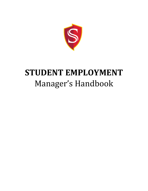

# **STUDENT EMPLOYMENT** Manager's Handbook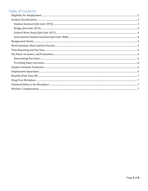## Table of Contents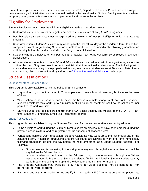Student employees work under direct supervision of an MPP, Department Chair or PI and perform a range of duties involving administrative, clerical, manual, skilled or technical tasks. Student Employment is considered temporary hourly-intermittent work in which permanent status cannot be achieved.

# <span id="page-2-0"></span>Eligibility for Employment

Student Employees must meet the minimum eligibility criteria as described below:

- Undergraduate students must be registered/enrolled in a minimum of six (6) Fall/Spring units.
- Post-baccalaureate students must be registered in a minimum of four (4) Fall/Spring units in a graduate program.
- Upon graduation, Student Assistants may work up to the last official day of the academic term. In addition, campuses may allow graduating Student Assistants to work one term immediately following graduation, up until the day before the next term starts, as a Bridge Student Assistant.
- Students who are employed on campus as staff or faculty may not be concurrently employed in a student classification.
- All international students who have F-1 and J-1 visa status must follow a set of immigration regulations as outlined by the U.S. government in order to maintain their international student status. The following set of rules and regulations is a guide to properly maintaining international student status at Stanislaus State. These rules and regulations can be found by visiting the [Office of International Education w](https://www.csustan.edu/office-international-education/international-students/current-students)eb page.

## <span id="page-2-1"></span>Student Classifications

#### <span id="page-2-2"></span>Student Assistant (Job Code 1870)

This program is only available during the Fall and Spring semester.

- May work up to, but not in excess of, 20 hours per week when school is in session, this includes the week of finals.
- When school is not in session due to academic breaks (example spring break and winter session), student assistants may work up to a maximum of 40 hours per week but shall not be scheduled, nor permitted, to work overtime.
- Earnings under this job code are **exempt** from FICA (Social Security and Medicare) and DPA PST (Parttime, Seasonal, Temporary Employee Retirement Program.

#### <span id="page-2-3"></span>Bridge (Job Code 1874)

This program is only available during the Summer Term and for one semester after a student graduates.

- To be eligible to work during the Summer Term: student employees must have been enrolled during the previous academic term and be registered for the subsequent academic term.
- Graduating seniors: Upon graduation, Student Assistants may work up to the last official day of the academic term. In addition, graduating Student Assistants are allowed to work one term immediately following graduation, up until the day before the next term starts, as a Bridge Student Assistant. For Example:
	- a. Student Assistants graduating in the spring term may work through the summer term up until the day before the fall term begins.
	- b. Student Assistants graduating in the fall term may continue to work through the Winter Session/Academic Break as a Student Assistant (1870). Additionally, Student Assistants may work through the spring term up until the day before the summer term begins.
- The Student Assistant may work up to 40 hours per week but shall not be scheduled, nor permitted, to work overtime.
- Earnings under this job code do not qualify for the student FICA exemption and are placed into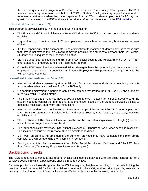the mandatory retirement program for Part-Time, Seasonal, and Temporary (PST) employees. The PST takes a mandatory retirement contribution of 7.5%. Student Employees may apply for a refund of retirement contributions when they have separated from all CSU or state employment for 90 days. All questions pertaining to the PST and ways to receive a refund can be located on the [PST website.](https://www.savingsplusnow.com/iApp/tcm/savingsplusnow/about/pst/pst.jsp)

#### <span id="page-3-0"></span>Federal Work Study (Job Code 1871)

This program is only available during the Fall and Spring semester.

- Th[e Financial Aid Office](http://www.csustan.edu/FinancialAid/index.html) administers the [Federal Work Study \(FWS\) Program](http://www.csustan.edu/FinancialAid/workstudy/) and determines a student's eligibility.
- May work up to, but not in excess of, 20 hours per week when school is in session, this includes the week of finals.
- It is the responsibility of the appropriate hiring administrator to monitor a student's earnings to make sure that they do not exceed the FWS award. It may be possible for a student to increase their FWS award. Students should inquire at the Financial Aid Office.
- Earnings under this job code are **exempt** from FICA (Social Security and Medicare) and DPA PST (Parttime, Seasonal, Temporary Employee Retirement Program).
- Once the FWS award has been exhausted, Hiring Managers have the opportunity to continue the student employee's appointment by submitting a "Student Employment Reappointment/Change" form to the Human Resources office.

#### <span id="page-3-1"></span>International Student Assistant (Job Code 1868)

- International students possessing either a J-1 or an F-1 student visa, and whose tax residency status is a nonresident alien, are hired into Job Code 1868 only.
- On-campus employment is permitted only on the campus that issues the I-20/DS201 9, and a student must have valid F-1 or J-1 status.
- The Student Assistant must also have a Social Security card. To apply for a Social Security card, the student needs to contact the International Students office (located in the Student Services Building) to obtain the necessary paperwork and instructions.
- International students will provide Human Resources a copy of the current I-20/DS201 9 form, passport, letter from the International Services office, and Social Security card (original, not a copy) verifying eligibility to work.
- The Non-Resident Alien Student Assistant must be enrolled and attending a minimum of eight (8) resident units of classes regardless of class level.
- The Student Assistant may work up to, but not in excess of, 20 hours per week when school is in session. This includes concurrent Instructional Student Assistant positions.
- May work on campus full-time during the summer, provided they have completed the prior spring semester and will be attending the upcoming fall semester.
- Earnings under this job code are exempt from FICA (Social Security and Medicare) and DPA PST (Parttime, Seasonal, Temporary Employee Retirement Program.)

### <span id="page-3-2"></span>Background Checks

The CSU is required to conduct background checks for student employees who are being considered for a sensitive position in which a background check is required by law.

Sensitive positions are those designated by the CSU as requiring heightened scrutiny of individuals holding the position, based on potential for harm to children, concerns for the safety and security of people, animals, or property, or heightened risk of financial loss to the CSU or individuals in the university community.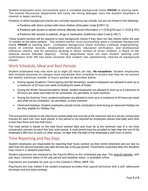Student employees must successfully pass a complete background check **PRIOR** to starting work. The Human Resources Department will notify the Hiring Manager once the student employee is cleared to begin working.

Positions in which background checks are currently required by law include, but are not limited to the following:

- Positions with direct contact with minor children (Education Code §10911.5)
- Positions with access to stored criminal offender record information (11 CCR §703 and 11 CCR § 707)
- Positions with access to patients, drugs or medication (California Labor Code § 432.7)

These student workers will be required to have background checks if they have not had checks within the past 12 months on the same campus. The student worker must successfully pass a complete background check **PRIOR** to starting work. (Complete background check includes LiveScan fingerprinting, check of criminal records, employment verification, education verification, and professional reference checks, and for positions working in direct contact of minor children, a check of the national sexual offender registry). Hiring department must not start student working until confirmation from HR has been received that student has satisfactorily cleared all background checks.

## <span id="page-4-0"></span>Work Schedule, Meal and Rest Periods

Student employees may only work up to eight (8) hours per day. *No exceptions*. Student employees with multiple positions on campus must coordinate their schedule to ensure that they do not excee d the weekly maximum number of hours worked as described below:

- During regular Academic Terms (spring and fall Semester): student employees are allowed to work up to a maximum of 20 hours per week (including the week of finals).
- During the Winter Session/Academic Break: student employees are allowed to work up to a maximum of 40 hours per week and shall not be scheduled, nor permitted, to work overtime.
- During the Summer Term: student employees are allowed to work up to a maximum of 40 hours per week and shall not be scheduled, nor permitted, to work overtime.
- Observed Holidays: Student employees should not be scheduled to work during an observed Holiday nor are they eligible for Holiday Pay.

The rest period is based on the total hours worked daily and must be at the minimum rate of a net ten consecutive minutes for each four hour work period. A rest period is not required for employees whose total daily work time is less than three and one-half hours.

The meal period is based on the total hours worked daily and must be at the minimum rate of a net thirty consecutive minutes for each five hour work period. A meal period must be provided no later than the end of the employee's fifth hour of work (in other words, no later than the start of the employee's sixth hour of work)

## <span id="page-4-1"></span>Time Reporting and Pay Days

Student employees are responsible for reporting their hours worked via their online timesheet and are due no later than the second business day after the last day of the pay period. Timesheets submitted after the deadline may result in a delayed paycheck.

Student paychecks are released by the Payroll Office on the scheduled pay day. The [payroll calendar,](http://www.csustan.edu/HR/Apps-Forms-Policies-Procedures/Documents/Calendars/CollegeCalendar13-14rev.pdf) with pay days, inclusive dates of the pay period and deadline dates, is available online.

Paychecks are available for pick-up in the Cashier's Office, MSR 130.

Paychecks are only mailed if the student employee provides their payroll technician with a self- addressed envelope and pre-paid postage.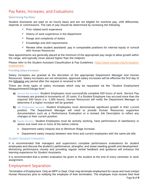## <span id="page-5-0"></span>Pay Rates, Increases, and Evaluations

#### <span id="page-5-1"></span>Determining Pay Rates

Student Assistants are paid on an hourly basis and are not eligible for overtime pay, shift differential, stipends or commissions. The rate of pay should be determined by reviewing the following:

- $\checkmark$  Prior related work experience
- $\checkmark$  History of work experience in the department
- $\checkmark$  Range and complexity of duties
- $\checkmark$  Knowledge and skill requirements
- $\checkmark$  Review other student assistants' pay in comparable positions for internal equity or consult with Human Resources

New appointments are generally placed at the minimum of the appropriate pay range to allow growth within the range, and typically never placed higher than the midpoint.

Please refer to the Student Assistant Classification & Pay Guidelines: [https://www.csustan.edu/hr/student](https://www.csustan.edu/hr/student-employment)[employment](https://www.csustan.edu/hr/student-employment) .

#### <span id="page-5-2"></span>Providing Salary Increases

Salary increases are granted at the discretion of the appropriate Department Manager and Human Resources. Salary increases are not retroactive; approved salary increases will be effective the first day of the following pay period after the request is received in HR.

There are three types of salary increases which may be requested via the "Student Employment Reappointment/Change form":

- **a)** *Service Pay Increase.* Student Employees must successfully complete 500 hours of work. Service Pay Increases are granted in increments of .25 cents. If a Student Employee has accrued more than the required 500 hours (i.e. 1,000 hours), Human Resources will notify the Department Manager to determine if a higher increase will be granted.
- **b)** *Job Progression Increase.* Student Employees must demonstrate significant growth in their current position. The Department Manager will need to provide Human Resources supportive documentation such as a Performance Evaluation or a revised Job Description to reflect any changes to their current position.
- **c)** *Equity Increase.* Student Employees must be actively working, have performance of satisfactory or above and meet one or more of the below criteria:
	- Department salary inequity due to Minimum Wage increase.
	- Department salary inequity between new hires and current employees with the same job title.

#### <span id="page-5-3"></span>Student Assistant Evaluation

It is recommended that managers and supervisors complete performance evaluations for student employees and discuss the student's performance, strengths, and areas needing growth and development. Monitoring performance closely and providing regular verbal feedback and guidance will enhance the learning experience for Student Assistants.

It is recommended that a written evaluation be given to the student at the end of every semester or work assignment.

## <span id="page-5-4"></span>Employment Separation

*Termination of Employment.* Only an MPP or Dept. Chair may terminate employment for cause and must contact Human Resources prior to notifying the employee of their termination. The employee must receive their final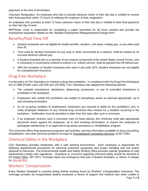paycheck at the time of termination.

*Voluntary Resignation.* An employee who fails to provide advance notice of their last day is entitled to receive their final paycheck within 72 hours of notifying the employer of their resignation.

An employee who provides at least 72 hours advance notice of their last day is entitled to their final paycheck on their last day of work.

MPP/Dept. Chair is responsible for completing a paper timesheet for all hours worked and provide the employment separation details on the "Student Employment Reappointment/Change form".

# <span id="page-6-0"></span>Benefits/Paid Time Off

- Student Assistants are not eligible for health benefits, vacation, sick leave, holiday pay, or any other paid time off.
- Time used by Student Assistants for jury duty or when summoned as a witness, shall be treated as an excused absence without pay.
- A Student Assistant who is a member of any reserve component of the United States Armed Forces, who is voluntarily or involuntarily ordered to extend U.S. military service, shall be granted time off without pay.
- With the exception of Student Assistants who work in job code 1874, Student Assistants are not eligible for unemployment insurance.

## <span id="page-6-1"></span>Drug-Free Workplace

It is the policy of CSU Stanislaus to maintain a drug-free workplace. In compliance with the Drug-Free Workplace Act of 1988 (Public Laws 100-440 and 100-690), CSU Stanislaus has adopted the following policies:

- The unlawful manufacture, distribution, dispensing, possession, or use of controlled substances is prohibited in the workplace.
- Employees who violate this prohibition are subject to disciplinary action as deemed appropriate, up to and including termination.
- As an on-going condition of employment, employees are required to abide by this prohibition; and, to notify Employee Relations of any criminal drug conviction they receive for a violation occurring in the workplace. Notification must be provided no later than five days after such a conviction.
- If an employee receives such a conviction (see #3 listed above), the University shall take appropriate personnel action against the employee, up to and including termination; or require the employee to participate satisfactorily in an approved drug-abuse assistance or rehabilitation program.

The University offers drug-awareness programs and activities, and has information available on drug counseling, rehabilitation, and other personal problems through its [Psychological Counseling Services,](http://www.csustan.edu/Counseling/) at 667-3381.

# <span id="page-6-2"></span>Chemical Safety in the Workplace

CSU Stanislaus provides employees with a safe working environment. Each employee is responsible for following departmental procedures for personal protective equipment and proper handling and use and/or disposal of chemicals. The Environmental Health and Safety (EH&S) Office provides specific guidelines to help departments comply with regulations. Questions or concerns regarding chemical safety should be directed to the [EH&S Office,](http://www.csustan.edu/upd/EnvironmentalHealthSafety/SafetyPolicies.html) 667-3572. Promptly report any emergency that puts a Student Assistant, or others, in danger by CALLING 911.

# <span id="page-6-3"></span>Workers' Compensation

Page **7** of **8** Every Student Assistant is covered during his/her working hours by Workers' Compensation Insurance. The coverage provides an incapacitated student employee a means of support and medical care when unable to